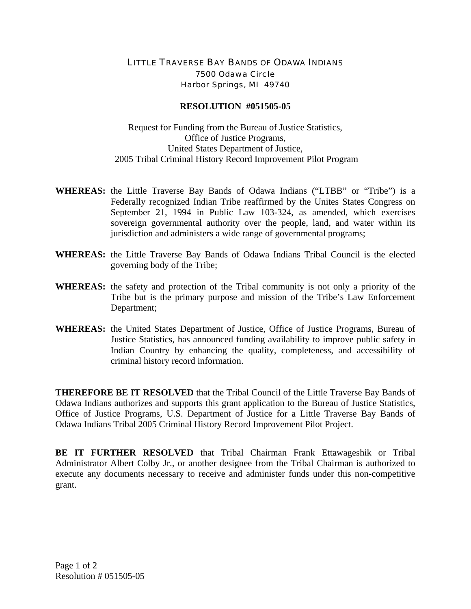## LITTLE TRAVERSE BAY BANDS OF ODAWA INDIANS 7500 Odawa Circle Harbor Springs, MI 49740

## **RESOLUTION #051505-05**

Request for Funding from the Bureau of Justice Statistics, Office of Justice Programs, United States Department of Justice, 2005 Tribal Criminal History Record Improvement Pilot Program

- **WHEREAS:** the Little Traverse Bay Bands of Odawa Indians ("LTBB" or "Tribe") is a Federally recognized Indian Tribe reaffirmed by the Unites States Congress on September 21, 1994 in Public Law 103-324, as amended, which exercises sovereign governmental authority over the people, land, and water within its jurisdiction and administers a wide range of governmental programs;
- **WHEREAS:** the Little Traverse Bay Bands of Odawa Indians Tribal Council is the elected governing body of the Tribe;
- **WHEREAS:** the safety and protection of the Tribal community is not only a priority of the Tribe but is the primary purpose and mission of the Tribe's Law Enforcement Department;
- **WHEREAS:** the United States Department of Justice, Office of Justice Programs, Bureau of Justice Statistics, has announced funding availability to improve public safety in Indian Country by enhancing the quality, completeness, and accessibility of criminal history record information.

**THEREFORE BE IT RESOLVED** that the Tribal Council of the Little Traverse Bay Bands of Odawa Indians authorizes and supports this grant application to the Bureau of Justice Statistics, Office of Justice Programs, U.S. Department of Justice for a Little Traverse Bay Bands of Odawa Indians Tribal 2005 Criminal History Record Improvement Pilot Project.

**BE IT FURTHER RESOLVED** that Tribal Chairman Frank Ettawageshik or Tribal Administrator Albert Colby Jr., or another designee from the Tribal Chairman is authorized to execute any documents necessary to receive and administer funds under this non-competitive grant.